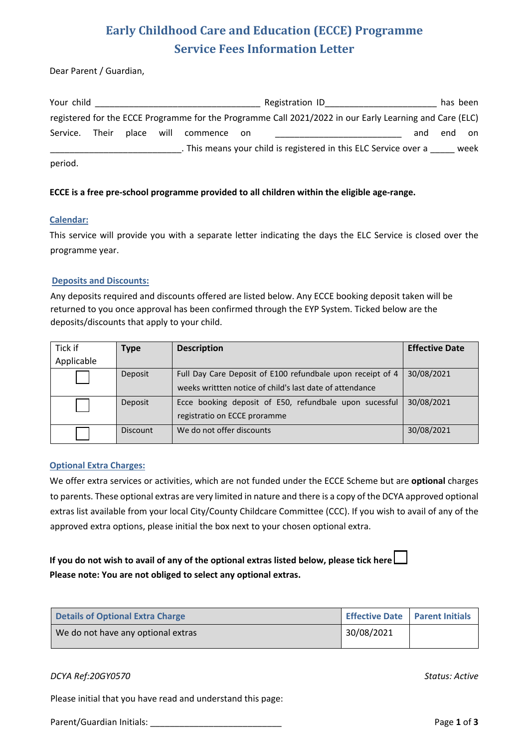# **Early Childhood Care and Education (ECCE) Programme Service Fees Information Letter**

Dear Parent / Guardian,

| Your child |       |            |          |       | Registration ID                                                                                         |     | has been |      |
|------------|-------|------------|----------|-------|---------------------------------------------------------------------------------------------------------|-----|----------|------|
|            |       |            |          |       | registered for the ECCE Programme for the Programme Call 2021/2022 in our Early Learning and Care (ELC) |     |          |      |
| Service.   | Their | place will | commence | on on |                                                                                                         | and | end      | on   |
|            |       |            |          |       | . This means your child is registered in this ELC Service over a                                        |     |          | week |
| period.    |       |            |          |       |                                                                                                         |     |          |      |

### **ECCE is a free pre-school programme provided to all children within the eligible age-range.**

#### **Calendar:**

This service will provide you with a separate letter indicating the days the ELC Service is closed over the programme year.

#### **Deposits and Discounts:**

Any deposits required and discounts offered are listed below. Any ECCE booking deposit taken will be returned to you once approval has been confirmed through the EYP System. Ticked below are the deposits/discounts that apply to your child.

| Tick if    | <b>Type</b>     | <b>Description</b>                                                                                                     | <b>Effective Date</b> |
|------------|-----------------|------------------------------------------------------------------------------------------------------------------------|-----------------------|
| Applicable |                 |                                                                                                                        |                       |
|            | Deposit         | Full Day Care Deposit of E100 refundbale upon receipt of 4<br>weeks writtten notice of child's last date of attendance | 30/08/2021            |
|            | Deposit         | Ecce booking deposit of E50, refundbale upon sucessful<br>registratio on ECCE proramme                                 | 30/08/2021            |
|            | <b>Discount</b> | We do not offer discounts                                                                                              | 30/08/2021            |

### **Optional Extra Charges:**

We offer extra services or activities, which are not funded under the ECCE Scheme but are **optional** charges to parents. These optional extras are very limited in nature and there is a copy of the DCYA approved optional extras list available from your local City/County Childcare Committee (CCC). If you wish to avail of any of the approved extra options, please initial the box next to your chosen optional extra.

### **If you do not wish to avail of any of the optional extras listed below, please tick here Please note: You are not obliged to select any optional extras.**

| <b>Details of Optional Extra Charge</b> |            | Effective Date   Parent Initials |
|-----------------------------------------|------------|----------------------------------|
| We do not have any optional extras      | 30/08/2021 |                                  |

### *DCYA Ref:20GY0570 Status: Active*

Please initial that you have read and understand this page:

Parent/Guardian Initials: Parent/Guardian Initials: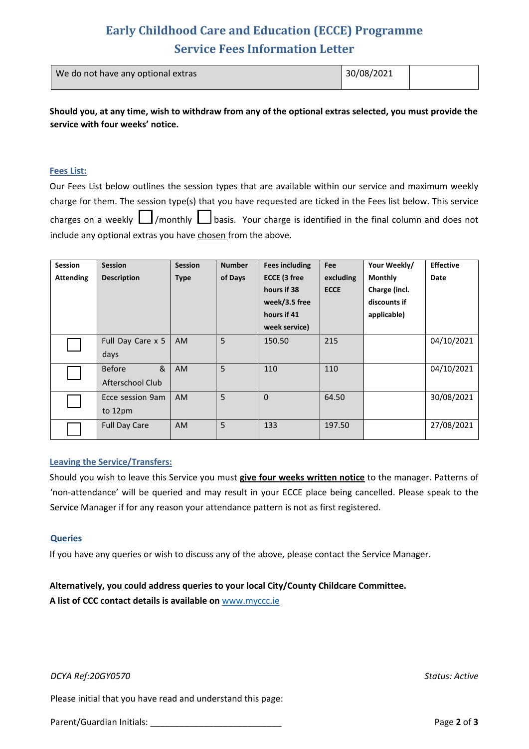# **Early Childhood Care and Education (ECCE) Programme Service Fees Information Letter**

| We do not have any optional extras | 30/08/2021 |  |
|------------------------------------|------------|--|
|                                    |            |  |

**Should you, at any time, wish to withdraw from any of the optional extras selected, you must provide the service with four weeks' notice.**

#### **Fees List:**

Our Fees List below outlines the session types that are available within our service and maximum weekly charge for them. The session type(s) that you have requested are ticked in the Fees list below. This service charges on a weekly  $\Box$ /monthly  $\Box$ basis. Your charge is identified in the final column and does not include any optional extras you have chosen from the above.

| <b>Session</b>   | <b>Session</b>       | <b>Session</b> | <b>Number</b> | <b>Fees including</b> | <b>Fee</b>  | Your Weekly/   | <b>Effective</b> |
|------------------|----------------------|----------------|---------------|-----------------------|-------------|----------------|------------------|
| <b>Attending</b> | <b>Description</b>   | <b>Type</b>    | of Days       | <b>ECCE (3 free</b>   | excluding   | <b>Monthly</b> | Date             |
|                  |                      |                |               | hours if 38           | <b>ECCE</b> | Charge (incl.  |                  |
|                  |                      |                |               | week/3.5 free         |             | discounts if   |                  |
|                  |                      |                |               | hours if 41           |             | applicable)    |                  |
|                  |                      |                |               | week service)         |             |                |                  |
|                  | Full Day Care x 5    | <b>AM</b>      | 5             | 150.50                | 215         |                | 04/10/2021       |
|                  | days                 |                |               |                       |             |                |                  |
|                  | &<br><b>Before</b>   | <b>AM</b>      | 5             | 110                   | 110         |                | 04/10/2021       |
|                  | Afterschool Club     |                |               |                       |             |                |                  |
|                  | Ecce session 9am     | <b>AM</b>      | 5             | $\mathbf{0}$          | 64.50       |                | 30/08/2021       |
|                  | to 12pm              |                |               |                       |             |                |                  |
|                  | <b>Full Day Care</b> | <b>AM</b>      | 5             | 133                   | 197.50      |                | 27/08/2021       |
|                  |                      |                |               |                       |             |                |                  |

#### **Leaving the Service/Transfers:**

Should you wish to leave this Service you must **give four weeks written notice** to the manager. Patterns of 'non-attendance' will be queried and may result in your ECCE place being cancelled. Please speak to the Service Manager if for any reason your attendance pattern is not as first registered.

#### **Queries**

If you have any queries or wish to discuss any of the above, please contact the Service Manager.

### **Alternatively, you could address queries to your local City/County Childcare Committee.**

**A list of CCC contact details is available on** www.myccc.ie

*DCYA Ref:20GY0570 Status: Active*

Please initial that you have read and understand this page:

Parent/Guardian Initials: **Parent/Guardian Initials: Page 2** of **3**